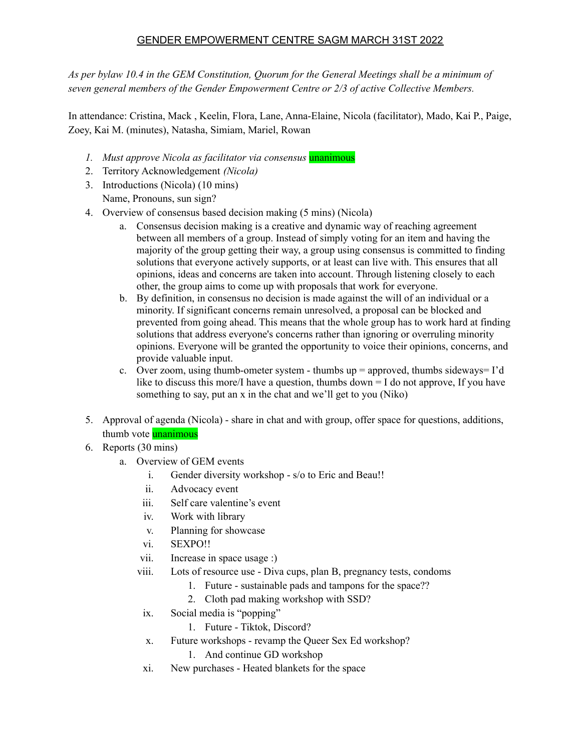## GENDER EMPOWERMENT CENTRE SAGM MARCH 31ST 2022

*As per bylaw 10.4 in the GEM Constitution, Quorum for the General Meetings shall be a minimum of seven general members of the Gender Empowerment Centre or 2/3 of active Collective Members.*

In attendance: Cristina, Mack , Keelin, Flora, Lane, Anna-Elaine, Nicola (facilitator), Mado, Kai P., Paige, Zoey, Kai M. (minutes), Natasha, Simiam, Mariel, Rowan

- *1. Must approve Nicola as facilitator via consensus* unanimous
- 2. Territory Acknowledgement *(Nicola)*
- 3. Introductions (Nicola) (10 mins)
	- Name, Pronouns, sun sign?
- 4. Overview of consensus based decision making (5 mins) (Nicola)
	- a. Consensus decision making is a creative and dynamic way of reaching agreement between all members of a group. Instead of simply voting for an item and having the majority of the group getting their way, a group using consensus is committed to finding solutions that everyone actively supports, or at least can live with. This ensures that all opinions, ideas and concerns are taken into account. Through listening closely to each other, the group aims to come up with proposals that work for everyone.
	- b. By definition, in consensus no decision is made against the will of an individual or a minority. If significant concerns remain unresolved, a proposal can be blocked and prevented from going ahead. This means that the whole group has to work hard at finding solutions that address everyone's concerns rather than ignoring or overruling minority opinions. Everyone will be granted the opportunity to voice their opinions, concerns, and provide valuable input.
	- c. Over zoom, using thumb-ometer system thumbs up  $=$  approved, thumbs sideways= I'd like to discuss this more/I have a question, thumbs  $down = I$  do not approve. If you have something to say, put an x in the chat and we'll get to you (Niko)
- 5. Approval of agenda (Nicola) share in chat and with group, offer space for questions, additions, thumb vote **unanimous**
- 6. Reports (30 mins)
	- a. Overview of GEM events
		- i. Gender diversity workshop s/o to Eric and Beau!!
		- ii. Advocacy event
		- iii. Self care valentine's event
		- iv. Work with library
		- v. Planning for showcase
		- vi. SEXPO!!
		- vii. Increase in space usage :)
		- viii. Lots of resource use Diva cups, plan B, pregnancy tests, condoms
			- 1. Future sustainable pads and tampons for the space??
			- 2. Cloth pad making workshop with SSD?
		- ix. Social media is "popping"
			- 1. Future Tiktok, Discord?
		- x. Future workshops revamp the Queer Sex Ed workshop?
			- 1. And continue GD workshop
		- xi. New purchases Heated blankets for the space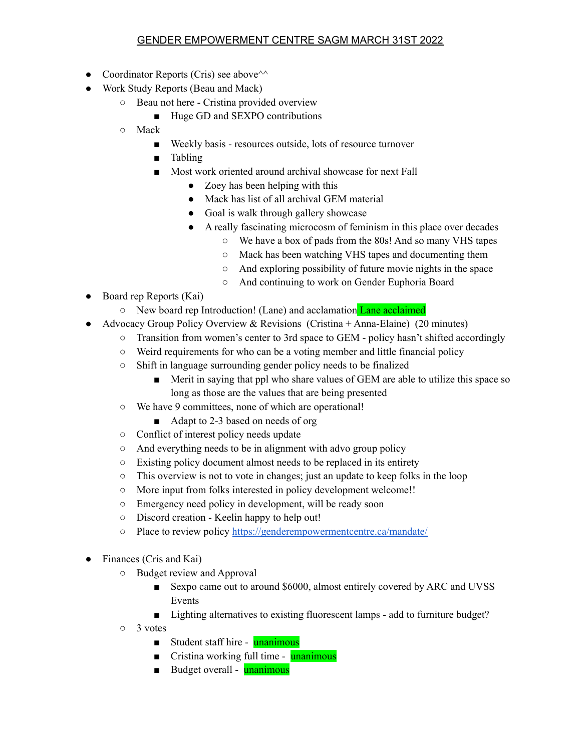## GENDER EMPOWERMENT CENTRE SAGM MARCH 31ST 2022

- Coordinator Reports (Cris) see above $\sim$
- Work Study Reports (Beau and Mack)
	- Beau not here Cristina provided overview
		- Huge GD and SEXPO contributions
	- Mack
		- Weekly basis resources outside, lots of resource turnover
		- Tabling
		- Most work oriented around archival showcase for next Fall
			- Zoey has been helping with this
			- Mack has list of all archival GEM material
			- Goal is walk through gallery showcase
			- A really fascinating microcosm of feminism in this place over decades
				- We have a box of pads from the 80s! And so many VHS tapes
				- Mack has been watching VHS tapes and documenting them
				- And exploring possibility of future movie nights in the space
				- And continuing to work on Gender Euphoria Board
- Board rep Reports (Kai)
	- New board rep Introduction! (Lane) and acclamation Lane acclaimed
- Advocacy Group Policy Overview & Revisions (Cristina + Anna-Elaine) (20 minutes)
	- Transition from women's center to 3rd space to GEM policy hasn't shifted accordingly
	- Weird requirements for who can be a voting member and little financial policy
	- Shift in language surrounding gender policy needs to be finalized
		- Merit in saying that ppl who share values of GEM are able to utilize this space so long as those are the values that are being presented
	- We have 9 committees, none of which are operational!
		- Adapt to 2-3 based on needs of org
	- Conflict of interest policy needs update
	- And everything needs to be in alignment with advo group policy
	- Existing policy document almost needs to be replaced in its entirety
	- This overview is not to vote in changes; just an update to keep folks in the loop
	- More input from folks interested in policy development welcome!!
	- Emergency need policy in development, will be ready soon
	- Discord creation Keelin happy to help out!
	- Place to review policy <https://genderempowermentcentre.ca/mandate/>
- Finances (Cris and Kai)
	- Budget review and Approval
		- Sexpo came out to around \$6000, almost entirely covered by ARC and UVSS Events
		- Lighting alternatives to existing fluorescent lamps add to furniture budget?
	- 3 votes
		- Student staff hire unanimous
		- Cristina working full time unanimous
		- Budget overall unanimous